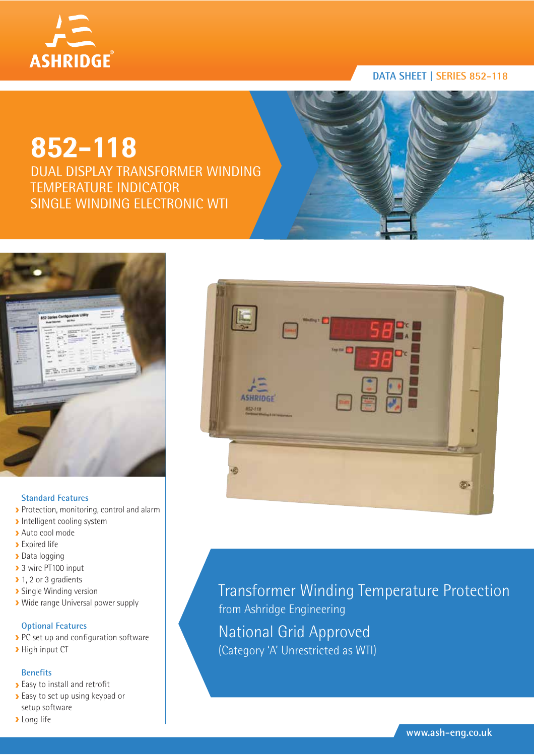

# **DATA SHEET | SERIES 852-118**

# **852-118**

DUAL DISPLAY TRANSFORMER WINDING TEMPERATURE INDICATOR SINGLE WINDING ELECTRONIC WTI



# **Standard Features**

- Protection, monitoring, control and alarm
- **Intelligent cooling system**
- Auto cool mode
- **Expired life**
- **Data logging**
- > 3 wire PT100 input
- ▶ 1, 2 or 3 gradients
- **>** Single Winding version
- Wide range Universal power supply

### **Optional Features**

- PC set up and configuration software
- > High input CT

### **Benefits**

- **Easy to install and retrofit**
- **Easy to set up using keypad or** setup software
- **>** Long life



Transformer Winding Temperature Protection from Ashridge Engineering National Grid Approved (Category 'A' Unrestricted as WTI)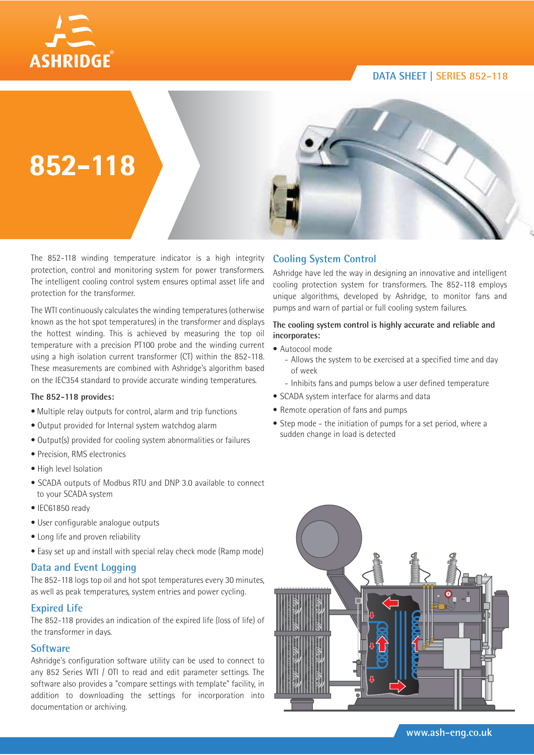## **DATA SHEET | SERIES 852-118**





The 852-118 winding temperature indicator is a high integrity protection, control and monitoring system for power transformers. The intelligent cooling control system ensures optimal asset life and protection for the transformer.

The WTI continuously calculates the winding temperatures (otherwise known as the hot spot temperatures) in the transformer and displays the hottest winding. This is achieved by measuring the top oil temperature with a precision PT100 probe and the winding current using a high isolation current transformer (CT) within the 852-118. These measurements are combined with Ashridge's algorithm based on the IEC354 standard to provide accurate winding temperatures.

#### **The 852-118 provides:**

- Multiple relay outputs for control, alarm and trip functions
- Output provided for Internal system watchdog alarm
- Output(s) provided for cooling system abnormalities or failures
- Precision, RMS electronics
- High level Isolation
- SCADA outputs of Modbus RTU and DNP 3.0 available to connect to your SCADA system
- IEC61850 ready
- User configurable analogue outputs
- Long life and proven reliability
- Easy set up and install with special relay check mode (Ramp mode)

#### **Data and Event Logging**

The 852-118 logs top oil and hot spot temperatures every 30 minutes, as well as peak temperatures, system entries and power cycling.

#### **Expired Life**

The 852-118 provides an indication of the expired life (loss of life) of the transformer in days.

## **Software**

Ashridge's configuration software utility can be used to connect to any 852 Series WTI / OTI to read and edit parameter settings. The software also provides a "compare settings with template" facility, in addition to downloading the settings for incorporation into documentation or archiving.

# **Cooling System Control**

Ashridge have led the way in designing an innovative and intelligent cooling protection system for transformers. The 852-118 employs unique algorithms, developed by Ashridge, to monitor fans and pumps and warn of partial or full cooling system failures.

#### **The cooling system control is highly accurate and reliable and incorporates:**

- Autocool mode
	- Allows the system to be exercised at a specified time and day of week
	- Inhibits fans and pumps below a user defined temperature
- SCADA system interface for alarms and data
- Remote operation of fans and pumps
- Step mode the initiation of pumps for a set period, where a sudden change in load is detected

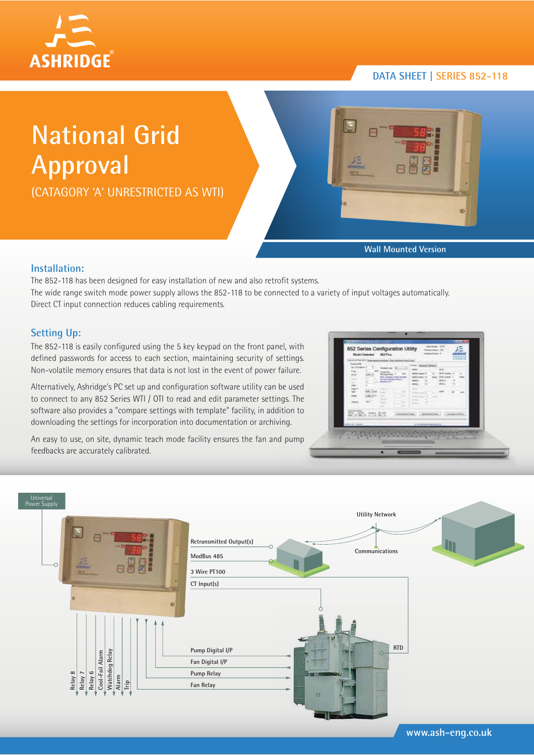

# **DATA SHEET | SERIES 852-118**

# **National Grid Approval**

(CATAGORY 'A' UNRESTRICTED AS WTI)



**Wall Mounted Version**

### **Installation:**

The 852-118 has been designed for easy installation of new and also retrofit systems. The wide range switch mode power supply allows the 852-118 to be connected to a variety of input voltages automatically. Direct CT input connection reduces cabling requirements.

# **Setting Up:**

The 852-118 is easily configured using the 5 key keypad on the front panel, with defined passwords for access to each section, maintaining security of settings. Non-volatile memory ensures that data is not lost in the event of power failure.

Alternatively, Ashridge's PC set up and configuration software utility can be used to connect to any 852 Series WTI / OTI to read and edit parameter settings. The software also provides a "compare settings with template" facility, in addition to downloading the settings for incorporation into documentation or archiving.

An easy to use, on site, dynamic teach mode facility ensures the fan and pump feedbacks are accurately calibrated.

|                                                                                                                                                              | <b><i><u>International</u></i></b><br>to street<br><b>Feedback Lear</b><br>Trac<br><b>Brian Fax</b><br>mist.<br><b>Monda Print</b><br>anja (tananti) kuni karakan<br>kulunakeun kahiji (tananti)<br>pertenti (ti)<br><b>The Control</b><br>Ę.<br>we<br>T-SA<br>m<br>$-0.4$<br><b>Haraki</b><br>$\sim$<br><b>TO</b> | Ford Chessel Street<br><b>URSA</b><br>With laughed in<br><b>Wall Laked</b><br>,,,<br>$-1$<br>es .<br>$\cdots$<br>o.<br><b>Contract</b><br><b>DISCOVERY TO</b><br><b>HALLY</b><br>-<br><b>CONTRACTOR</b> |
|--------------------------------------------------------------------------------------------------------------------------------------------------------------|--------------------------------------------------------------------------------------------------------------------------------------------------------------------------------------------------------------------------------------------------------------------------------------------------------------------|---------------------------------------------------------------------------------------------------------------------------------------------------------------------------------------------------------|
| <b>ALCOHOL:</b><br><b>BELLEVIAL AND ALCOHOL</b><br>and the local contract and con-<br>Linkerback Militia<br>A record bally replaced in a<br><b>DESTROYED</b> |                                                                                                                                                                                                                                                                                                                    |                                                                                                                                                                                                         |